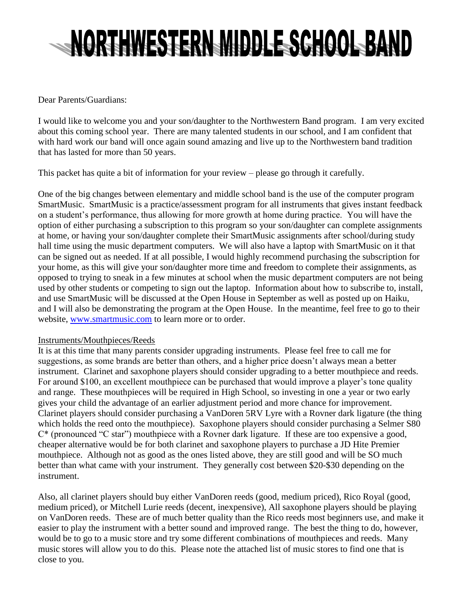## NORTHWESTERN MIDDLE SCHOOL BAND

Dear Parents/Guardians:

I would like to welcome you and your son/daughter to the Northwestern Band program. I am very excited about this coming school year. There are many talented students in our school, and I am confident that with hard work our band will once again sound amazing and live up to the Northwestern band tradition that has lasted for more than 50 years.

This packet has quite a bit of information for your review – please go through it carefully.

One of the big changes between elementary and middle school band is the use of the computer program SmartMusic. SmartMusic is a practice/assessment program for all instruments that gives instant feedback on a student's performance, thus allowing for more growth at home during practice. You will have the option of either purchasing a subscription to this program so your son/daughter can complete assignments at home, or having your son/daughter complete their SmartMusic assignments after school/during study hall time using the music department computers. We will also have a laptop with SmartMusic on it that can be signed out as needed. If at all possible, I would highly recommend purchasing the subscription for your home, as this will give your son/daughter more time and freedom to complete their assignments, as opposed to trying to sneak in a few minutes at school when the music department computers are not being used by other students or competing to sign out the laptop. Information about how to subscribe to, install, and use SmartMusic will be discussed at the Open House in September as well as posted up on Haiku, and I will also be demonstrating the program at the Open House. In the meantime, feel free to go to their website, [www.smartmusic.com](http://www.smartmusic.com/) to learn more or to order.

## Instruments/Mouthpieces/Reeds

It is at this time that many parents consider upgrading instruments. Please feel free to call me for suggestions, as some brands are better than others, and a higher price doesn't always mean a better instrument. Clarinet and saxophone players should consider upgrading to a better mouthpiece and reeds. For around \$100, an excellent mouthpiece can be purchased that would improve a player's tone quality and range. These mouthpieces will be required in High School, so investing in one a year or two early gives your child the advantage of an earlier adjustment period and more chance for improvement. Clarinet players should consider purchasing a VanDoren 5RV Lyre with a Rovner dark ligature (the thing which holds the reed onto the mouthpiece). Saxophone players should consider purchasing a Selmer S80 C\* (pronounced "C star") mouthpiece with a Rovner dark ligature. If these are too expensive a good, cheaper alternative would be for both clarinet and saxophone players to purchase a JD Hite Premier mouthpiece. Although not as good as the ones listed above, they are still good and will be SO much better than what came with your instrument. They generally cost between \$20-\$30 depending on the instrument.

Also, all clarinet players should buy either VanDoren reeds (good, medium priced), Rico Royal (good, medium priced), or Mitchell Lurie reeds (decent, inexpensive), All saxophone players should be playing on VanDoren reeds. These are of much better quality than the Rico reeds most beginners use, and make it easier to play the instrument with a better sound and improved range. The best the thing to do, however, would be to go to a music store and try some different combinations of mouthpieces and reeds. Many music stores will allow you to do this. Please note the attached list of music stores to find one that is close to you.